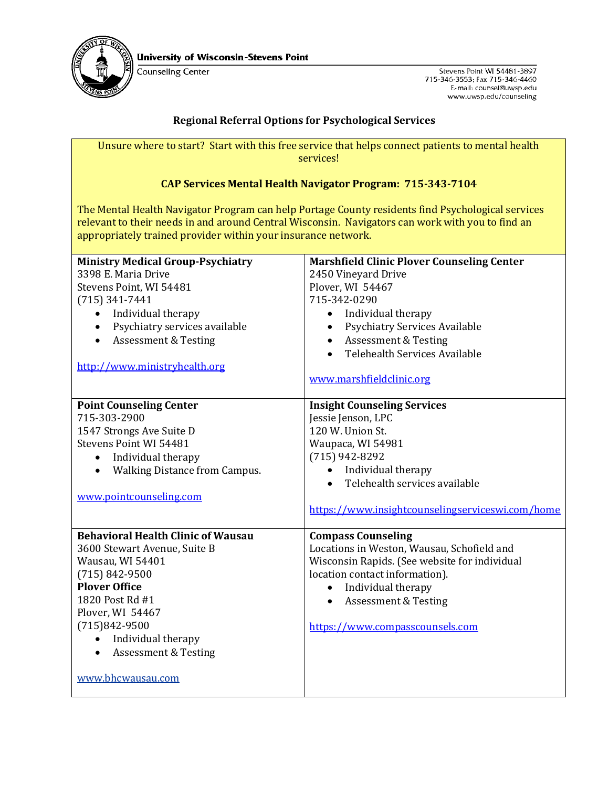

Counseling Center

Stevens Point WI 54481-3897 715-346-3553; Fax 715-346-4460 E-mail: counsel@uwsp.edu www.uwsp.edu/counseling

## **Regional Referral Options for Psychological Services**

Unsure where to start? Start with this free service that helps connect patients to mental health services!

## **CAP Services Mental Health Navigator Program: 715-343-7104**

The Mental Health Navigator Program can help Portage County residents find Psychological services relevant to their needs in and around Central Wisconsin. Navigators can work with you to find an appropriately trained provider within your insurance network.

| <b>Ministry Medical Group-Psychiatry</b><br>3398 E. Maria Drive<br>Stevens Point, WI 54481<br>$(715)$ 341-7441<br>Individual therapy<br>$\bullet$<br>Psychiatry services available<br>$\bullet$<br><b>Assessment &amp; Testing</b><br>$\bullet$<br>http://www.ministryhealth.org         | <b>Marshfield Clinic Plover Counseling Center</b><br>2450 Vineyard Drive<br>Plover, WI 54467<br>715-342-0290<br>Individual therapy<br>$\bullet$<br><b>Psychiatry Services Available</b><br>$\bullet$<br>• Assessment & Testing<br>Telehealth Services Available<br>$\bullet$     |
|------------------------------------------------------------------------------------------------------------------------------------------------------------------------------------------------------------------------------------------------------------------------------------------|----------------------------------------------------------------------------------------------------------------------------------------------------------------------------------------------------------------------------------------------------------------------------------|
|                                                                                                                                                                                                                                                                                          | www.marshfieldclinic.org                                                                                                                                                                                                                                                         |
| <b>Point Counseling Center</b><br>715-303-2900<br>1547 Strongs Ave Suite D<br>Stevens Point WI 54481<br>Individual therapy<br>$\bullet$<br><b>Walking Distance from Campus.</b><br>$\bullet$<br>www.pointcounseling.com                                                                  | <b>Insight Counseling Services</b><br>Jessie Jenson, LPC<br>120 W. Union St.<br>Waupaca, WI 54981<br>$(715)$ 942-8292<br>Individual therapy<br>Telehealth services available<br>https://www.insightcounselingserviceswi.com/home                                                 |
| <b>Behavioral Health Clinic of Wausau</b><br>3600 Stewart Avenue, Suite B<br>Wausau, WI 54401<br>$(715) 842 - 9500$<br><b>Plover Office</b><br>1820 Post Rd #1<br>Plover, WI 54467<br>$(715)842-9500$<br>Individual therapy<br><b>Assessment &amp; Testing</b><br>٠<br>www.bhcwausau.com | <b>Compass Counseling</b><br>Locations in Weston, Wausau, Schofield and<br>Wisconsin Rapids. (See website for individual<br>location contact information).<br>Individual therapy<br>$\bullet$<br><b>Assessment &amp; Testing</b><br>$\bullet$<br>https://www.compasscounsels.com |